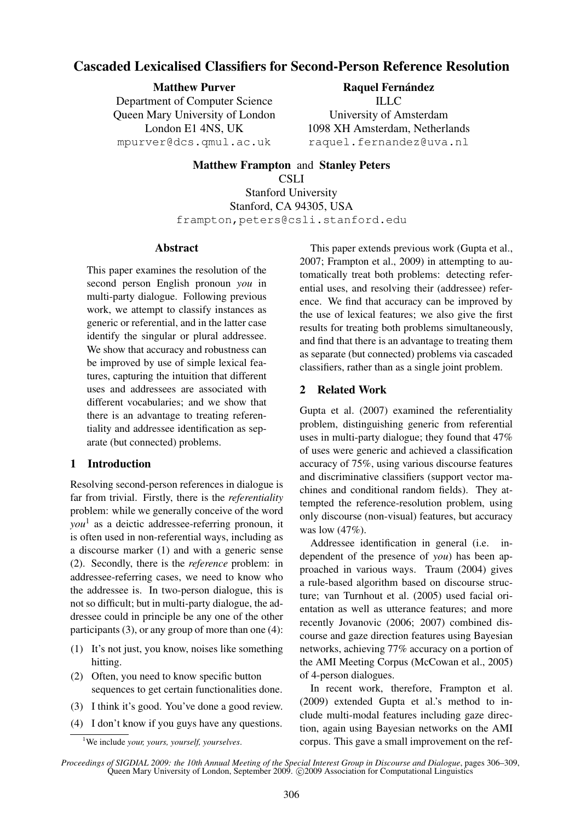# Cascaded Lexicalised Classifiers for Second-Person Reference Resolution

Matthew Purver Department of Computer Science Queen Mary University of London London E1 4NS, UK mpurver@dcs.qmul.ac.uk

Raquel Fernández ILLC University of Amsterdam 1098 XH Amsterdam, Netherlands raquel.fernandez@uva.nl

Matthew Frampton and Stanley Peters CSLI Stanford University Stanford, CA 94305, USA frampton,peters@csli.stanford.edu

### Abstract

This paper examines the resolution of the second person English pronoun *you* in multi-party dialogue. Following previous work, we attempt to classify instances as generic or referential, and in the latter case identify the singular or plural addressee. We show that accuracy and robustness can be improved by use of simple lexical features, capturing the intuition that different uses and addressees are associated with different vocabularies; and we show that there is an advantage to treating referentiality and addressee identification as separate (but connected) problems.

### 1 Introduction

Resolving second-person references in dialogue is far from trivial. Firstly, there is the *referentiality* problem: while we generally conceive of the word *you*<sup>1</sup> as a deictic addressee-referring pronoun, it is often used in non-referential ways, including as a discourse marker (1) and with a generic sense (2). Secondly, there is the *reference* problem: in addressee-referring cases, we need to know who the addressee is. In two-person dialogue, this is not so difficult; but in multi-party dialogue, the addressee could in principle be any one of the other participants (3), or any group of more than one (4):

- (1) It's not just, you know, noises like something hitting.
- (2) Often, you need to know specific button sequences to get certain functionalities done.
- (3) I think it's good. You've done a good review.
- (4) I don't know if you guys have any questions.

This paper extends previous work (Gupta et al., 2007; Frampton et al., 2009) in attempting to automatically treat both problems: detecting referential uses, and resolving their (addressee) reference. We find that accuracy can be improved by the use of lexical features; we also give the first results for treating both problems simultaneously, and find that there is an advantage to treating them as separate (but connected) problems via cascaded classifiers, rather than as a single joint problem.

### 2 Related Work

Gupta et al. (2007) examined the referentiality problem, distinguishing generic from referential uses in multi-party dialogue; they found that 47% of uses were generic and achieved a classification accuracy of 75%, using various discourse features and discriminative classifiers (support vector machines and conditional random fields). They attempted the reference-resolution problem, using only discourse (non-visual) features, but accuracy was low (47%).

Addressee identification in general (i.e. independent of the presence of *you*) has been approached in various ways. Traum (2004) gives a rule-based algorithm based on discourse structure; van Turnhout et al. (2005) used facial orientation as well as utterance features; and more recently Jovanovic (2006; 2007) combined discourse and gaze direction features using Bayesian networks, achieving 77% accuracy on a portion of the AMI Meeting Corpus (McCowan et al., 2005) of 4-person dialogues.

In recent work, therefore, Frampton et al. (2009) extended Gupta et al.'s method to include multi-modal features including gaze direction, again using Bayesian networks on the AMI corpus. This gave a small improvement on the ref-

<sup>1</sup>We include *your, yours, yourself, yourselves*.

*Proceedings of SIGDIAL 2009: the 10th Annual Meeting of the Special Interest Group in Discourse and Dialogue*, pages 306–309, Queen Mary University of London, September 2009. © 2009 Association for Computational Linguistics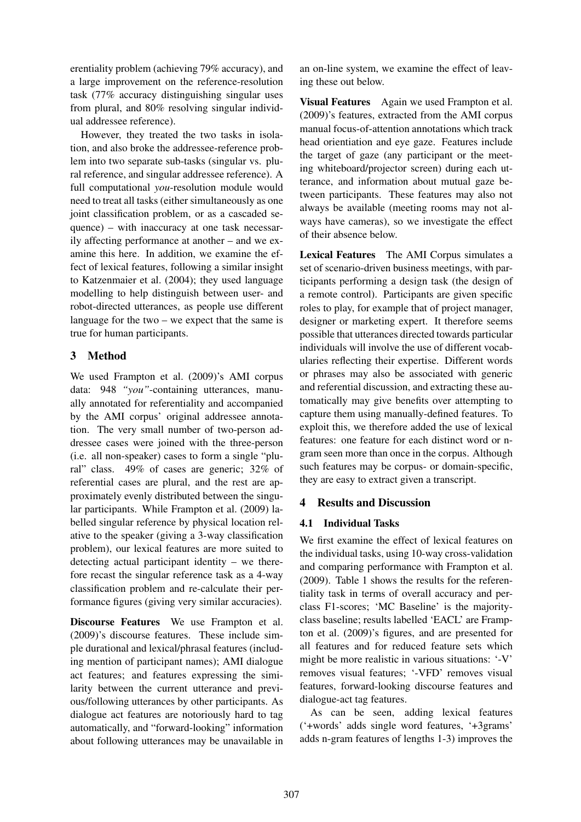erentiality problem (achieving 79% accuracy), and a large improvement on the reference-resolution task (77% accuracy distinguishing singular uses from plural, and 80% resolving singular individual addressee reference).

However, they treated the two tasks in isolation, and also broke the addressee-reference problem into two separate sub-tasks (singular vs. plural reference, and singular addressee reference). A full computational *you*-resolution module would need to treat all tasks (either simultaneously as one joint classification problem, or as a cascaded sequence) – with inaccuracy at one task necessarily affecting performance at another – and we examine this here. In addition, we examine the effect of lexical features, following a similar insight to Katzenmaier et al. (2004); they used language modelling to help distinguish between user- and robot-directed utterances, as people use different language for the two – we expect that the same is true for human participants.

### 3 Method

We used Frampton et al. (2009)'s AMI corpus data: 948 *"you"*-containing utterances, manually annotated for referentiality and accompanied by the AMI corpus' original addressee annotation. The very small number of two-person addressee cases were joined with the three-person (i.e. all non-speaker) cases to form a single "plural" class. 49% of cases are generic; 32% of referential cases are plural, and the rest are approximately evenly distributed between the singular participants. While Frampton et al. (2009) labelled singular reference by physical location relative to the speaker (giving a 3-way classification problem), our lexical features are more suited to detecting actual participant identity – we therefore recast the singular reference task as a 4-way classification problem and re-calculate their performance figures (giving very similar accuracies).

Discourse Features We use Frampton et al. (2009)'s discourse features. These include simple durational and lexical/phrasal features (including mention of participant names); AMI dialogue act features; and features expressing the similarity between the current utterance and previous/following utterances by other participants. As dialogue act features are notoriously hard to tag automatically, and "forward-looking" information about following utterances may be unavailable in

an on-line system, we examine the effect of leaving these out below.

Visual Features Again we used Frampton et al. (2009)'s features, extracted from the AMI corpus manual focus-of-attention annotations which track head orientiation and eye gaze. Features include the target of gaze (any participant or the meeting whiteboard/projector screen) during each utterance, and information about mutual gaze between participants. These features may also not always be available (meeting rooms may not always have cameras), so we investigate the effect of their absence below.

Lexical Features The AMI Corpus simulates a set of scenario-driven business meetings, with participants performing a design task (the design of a remote control). Participants are given specific roles to play, for example that of project manager, designer or marketing expert. It therefore seems possible that utterances directed towards particular individuals will involve the use of different vocabularies reflecting their expertise. Different words or phrases may also be associated with generic and referential discussion, and extracting these automatically may give benefits over attempting to capture them using manually-defined features. To exploit this, we therefore added the use of lexical features: one feature for each distinct word or ngram seen more than once in the corpus. Although such features may be corpus- or domain-specific, they are easy to extract given a transcript.

## 4 Results and Discussion

### 4.1 Individual Tasks

We first examine the effect of lexical features on the individual tasks, using 10-way cross-validation and comparing performance with Frampton et al. (2009). Table 1 shows the results for the referentiality task in terms of overall accuracy and perclass F1-scores; 'MC Baseline' is the majorityclass baseline; results labelled 'EACL' are Frampton et al. (2009)'s figures, and are presented for all features and for reduced feature sets which might be more realistic in various situations: '-V' removes visual features; '-VFD' removes visual features, forward-looking discourse features and dialogue-act tag features.

As can be seen, adding lexical features ('+words' adds single word features, '+3grams' adds n-gram features of lengths 1-3) improves the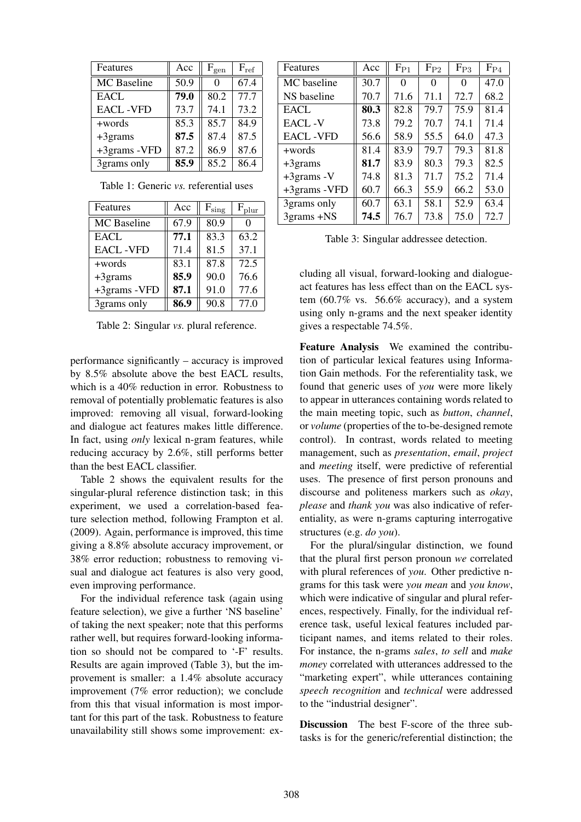| Features           | Acc  | $F_{gen}$         | $F_{ref}$ |
|--------------------|------|-------------------|-----------|
| <b>MC</b> Baseline | 50.9 | $\mathbf{\Omega}$ | 67.4      |
| <b>EACL</b>        | 79.0 | 80.2              | 77.7      |
| <b>EACL-VFD</b>    | 73.7 | 74.1              | 73.2      |
| +words             | 85.3 | 85.7              | 84.9      |
| $+3$ grams         | 87.5 | 87.4              | 87.5      |
| +3grams -VFD       | 87.2 | 86.9              | 87.6      |
| 3grams only        | 85.9 | 85.2              | 86.4      |

Table 1: Generic *vs.* referential uses

| Features        | Acc  | $\rm F_{sing}$ | $F_{\text{plur}}$ |
|-----------------|------|----------------|-------------------|
| MC Baseline     | 67.9 | 80.9           |                   |
| <b>EACL</b>     | 77.1 | 83.3           | 63.2              |
| <b>EACL-VFD</b> | 71.4 | 81.5           | 37.1              |
| +words          | 83.1 | 87.8           | 72.5              |
| $+3$ grams      | 85.9 | 90.0           | 76.6              |
| +3grams -VFD    | 87.1 | 91.0           | 77.6              |
| 3grams only     | 86.9 | 90.8           | 77.0              |

Table 2: Singular *vs.* plural reference.

performance significantly – accuracy is improved by 8.5% absolute above the best EACL results, which is a 40% reduction in error. Robustness to removal of potentially problematic features is also improved: removing all visual, forward-looking and dialogue act features makes little difference. In fact, using *only* lexical n-gram features, while reducing accuracy by 2.6%, still performs better than the best EACL classifier.

Table 2 shows the equivalent results for the singular-plural reference distinction task; in this experiment, we used a correlation-based feature selection method, following Frampton et al. (2009). Again, performance is improved, this time giving a 8.8% absolute accuracy improvement, or 38% error reduction; robustness to removing visual and dialogue act features is also very good, even improving performance.

For the individual reference task (again using feature selection), we give a further 'NS baseline' of taking the next speaker; note that this performs rather well, but requires forward-looking information so should not be compared to '-F' results. Results are again improved (Table 3), but the improvement is smaller: a 1.4% absolute accuracy improvement (7% error reduction); we conclude from this that visual information is most important for this part of the task. Robustness to feature unavailability still shows some improvement: ex-

| Features        | Acc  | $F_{P1}$ | $F_{P2}$ | $F_{P3}$ | $F_{P4}$ |
|-----------------|------|----------|----------|----------|----------|
| MC baseline     | 30.7 | $\theta$ | 0        | 0        | 47.0     |
| NS baseline     | 70.7 | 71.6     | 71.1     | 72.7     | 68.2     |
| <b>EACL</b>     | 80.3 | 82.8     | 79.7     | 75.9     | 81.4     |
| <b>EACL-V</b>   | 73.8 | 79.2     | 70.7     | 74.1     | 71.4     |
| <b>EACL-VFD</b> | 56.6 | 58.9     | 55.5     | 64.0     | 47.3     |
| +words          | 81.4 | 83.9     | 79.7     | 79.3     | 81.8     |
| $+3$ grams      | 81.7 | 83.9     | 80.3     | 79.3     | 82.5     |
| $+3$ grams - V  | 74.8 | 81.3     | 71.7     | 75.2     | 71.4     |
| +3grams -VFD    | 60.7 | 66.3     | 55.9     | 66.2     | 53.0     |
| 3grams only     | 60.7 | 63.1     | 58.1     | 52.9     | 63.4     |
| 3grams +NS      | 74.5 | 76.7     | 73.8     | 75.0     | 72.7     |

Table 3: Singular addressee detection.

cluding all visual, forward-looking and dialogueact features has less effect than on the EACL system  $(60.7\%$  vs. 56.6% accuracy), and a system using only n-grams and the next speaker identity gives a respectable 74.5%.

Feature Analysis We examined the contribution of particular lexical features using Information Gain methods. For the referentiality task, we found that generic uses of *you* were more likely to appear in utterances containing words related to the main meeting topic, such as *button*, *channel*, or *volume* (properties of the to-be-designed remote control). In contrast, words related to meeting management, such as *presentation*, *email*, *project* and *meeting* itself, were predictive of referential uses. The presence of first person pronouns and discourse and politeness markers such as *okay*, *please* and *thank you* was also indicative of referentiality, as were n-grams capturing interrogative structures (e.g. *do you*).

For the plural/singular distinction, we found that the plural first person pronoun *we* correlated with plural references of *you*. Other predictive ngrams for this task were *you mean* and *you know*, which were indicative of singular and plural references, respectively. Finally, for the individual reference task, useful lexical features included participant names, and items related to their roles. For instance, the n-grams *sales*, *to sell* and *make money* correlated with utterances addressed to the "marketing expert", while utterances containing *speech recognition* and *technical* were addressed to the "industrial designer".

Discussion The best F-score of the three subtasks is for the generic/referential distinction; the